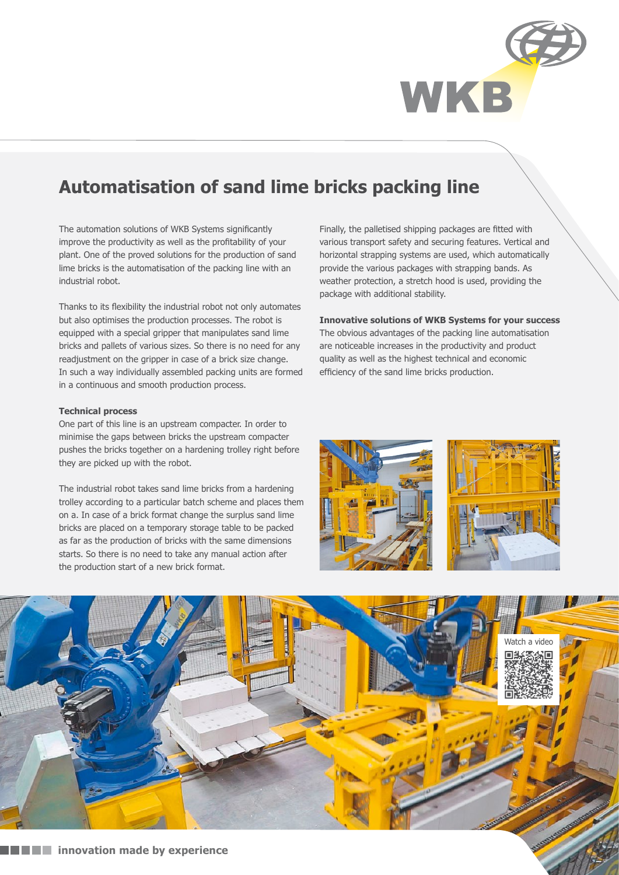

# **Automatisation of sand lime bricks packing line**

The automation solutions of WKB Systems significantly improve the productivity as well as the profitability of your plant. One of the proved solutions for the production of sand lime bricks is the automatisation of the packing line with an industrial robot.

Thanks to its flexibility the industrial robot not only automates but also optimises the production processes. The robot is equipped with a special gripper that manipulates sand lime bricks and pallets of various sizes. So there is no need for any readjustment on the gripper in case of a brick size change. In such a way individually assembled packing units are formed in a continuous and smooth production process.

### **Technical process**

One part of this line is an upstream compacter. In order to minimise the gaps between bricks the upstream compacter pushes the bricks together on a hardening trolley right before they are picked up with the robot.

The industrial robot takes sand lime bricks from a hardening trolley according to a particular batch scheme and places them on a. In case of a brick format change the surplus sand lime bricks are placed on a temporary storage table to be packed as far as the production of bricks with the same dimensions starts. So there is no need to take any manual action after the production start of a new brick format.

Finally, the palletised shipping packages are fitted with various transport safety and securing features. Vertical and horizontal strapping systems are used, which automatically provide the various packages with strapping bands. As weather protection, a stretch hood is used, providing the package with additional stability.

### **Innovative solutions of WKB Systems for your success**

The obvious advantages of the packing line automatisation are noticeable increases in the productivity and product quality as well as the highest technical and economic efficiency of the sand lime bricks production.